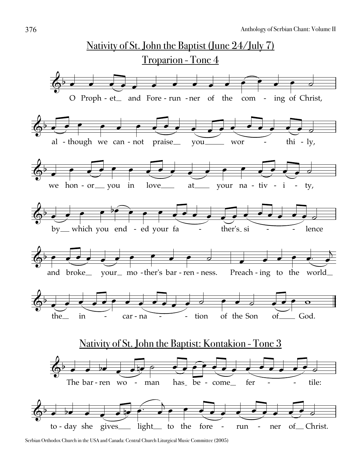

Serbian Orthodox Church in the USA and Canada: Central Church Liturgical Music Committee (2005)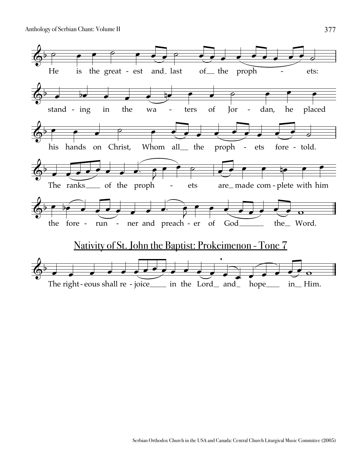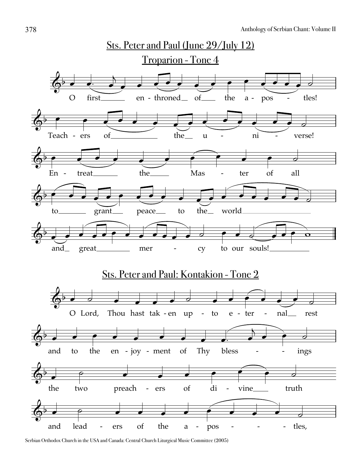

Serbian Orthodox Church in the USA and Canada: Central Church Liturgical Music Committee (2005)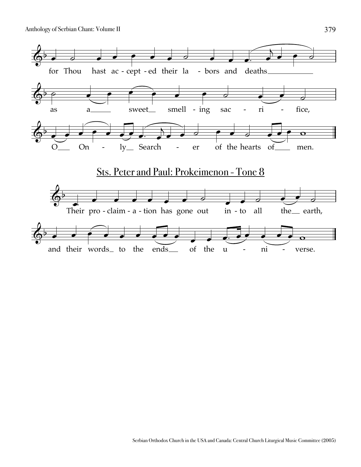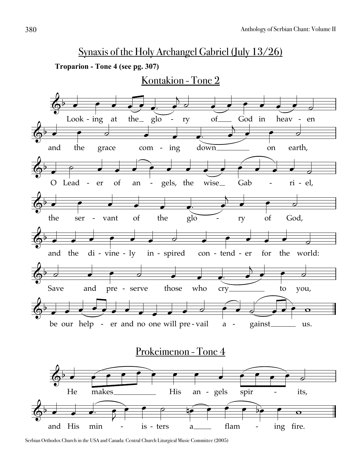## Synaxis of the Holy Archangel Gabriel (July 13/26)



Serbian Orthodox Church in the USA and Canada: Central Church Liturgical Music Committee (2005)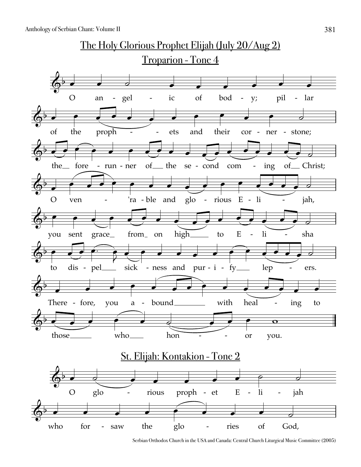

Serbian Orthodox Church in the USA and Canada: Central Church Liturgical Music Committee (2005)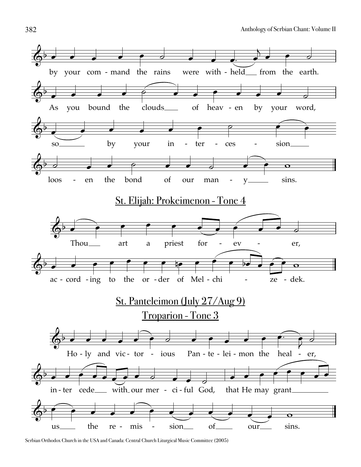

Serbian Orthodox Church in the USA and Canada: Central Church Liturgical Music Committee (2005)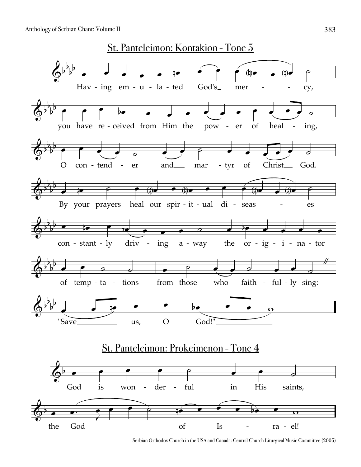

Serbian Orthodox Church in the USA and Canada: Central Church Liturgical Music Committee (2005)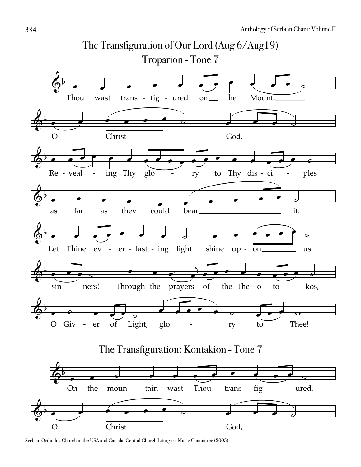![](_page_8_Figure_1.jpeg)

Serbian Orthodox Church in the USA and Canada: Central Church Liturgical Music Committee (2005)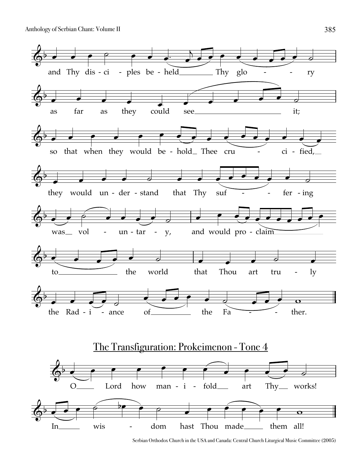![](_page_9_Figure_1.jpeg)

Serbian Orthodox Church in the USA and Canada: Central Church Liturgical Music Committee (2005)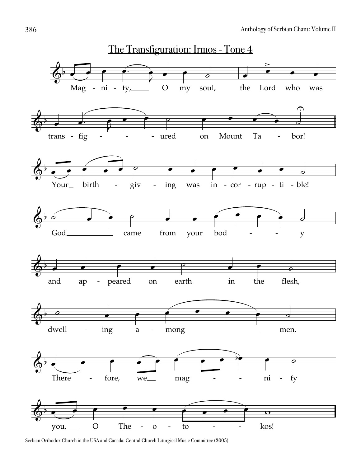![](_page_10_Figure_1.jpeg)

Serbian Orthodox Church in the USA and Canada: Central Church Liturgical Music Committee (2005)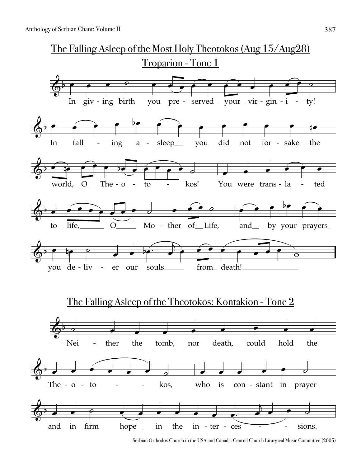![](_page_11_Figure_1.jpeg)

Serbian Orthodox Church in the USA and Canada: Central Church Liturgical Music Committee (2005)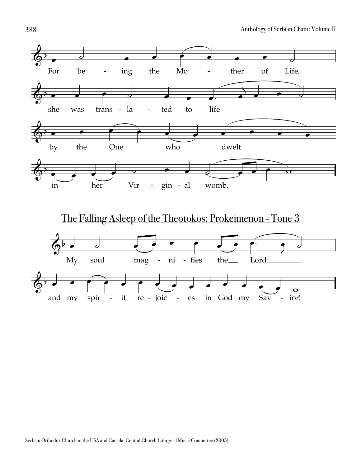![](_page_12_Figure_1.jpeg)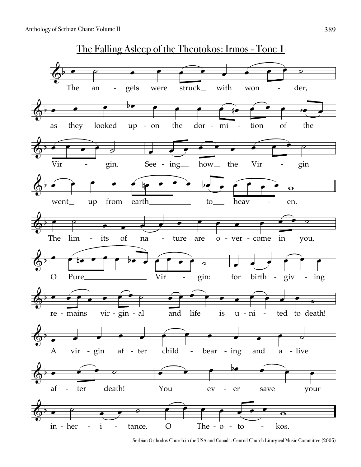![](_page_13_Figure_1.jpeg)

Serbian Orthodox Church in the USA and Canada: Central Church Liturgical Music Committee (2005)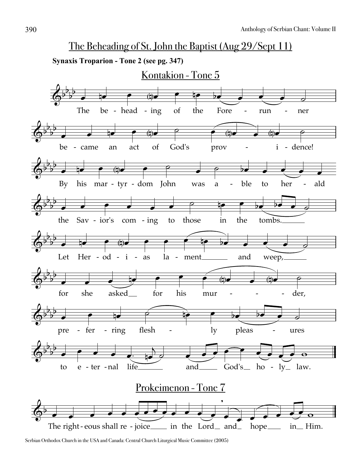![](_page_14_Figure_1.jpeg)

Serbian Orthodox Church in the USA and Canada: Central Church Liturgical Music Committee (2005)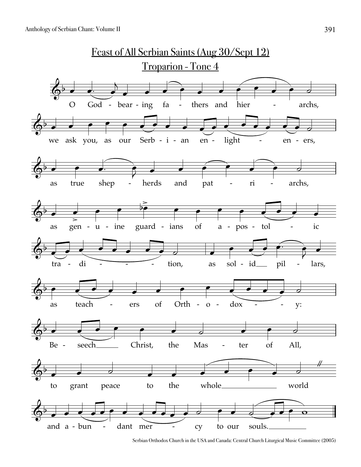![](_page_15_Figure_1.jpeg)

Serbian Orthodox Church in the USA and Canada: Central Church Liturgical Music Committee (2005)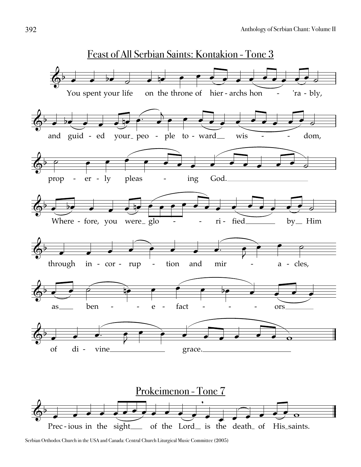![](_page_16_Figure_1.jpeg)

Serbian Orthodox Church in the USA and Canada: Central Church Liturgical Music Committee (2005)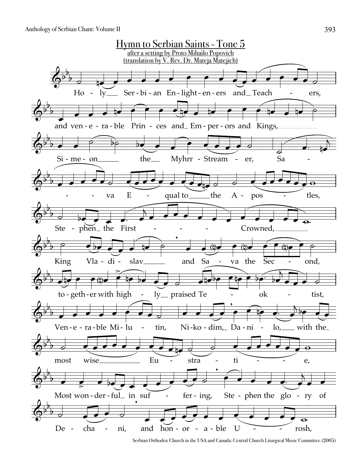![](_page_17_Figure_1.jpeg)

Serbian Orthodox Church in the USA and Canada: Central Church Liturgical Music Committee (2005)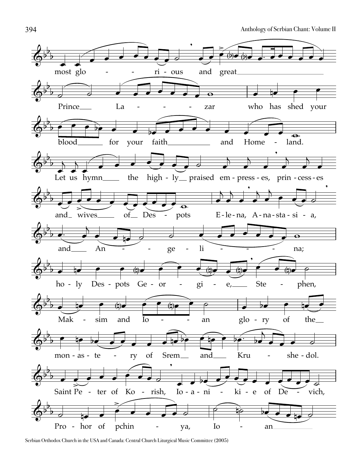![](_page_18_Figure_1.jpeg)

Serbian Orthodox Church in the USA and Canada: Central Church Liturgical Music Committee (2005)